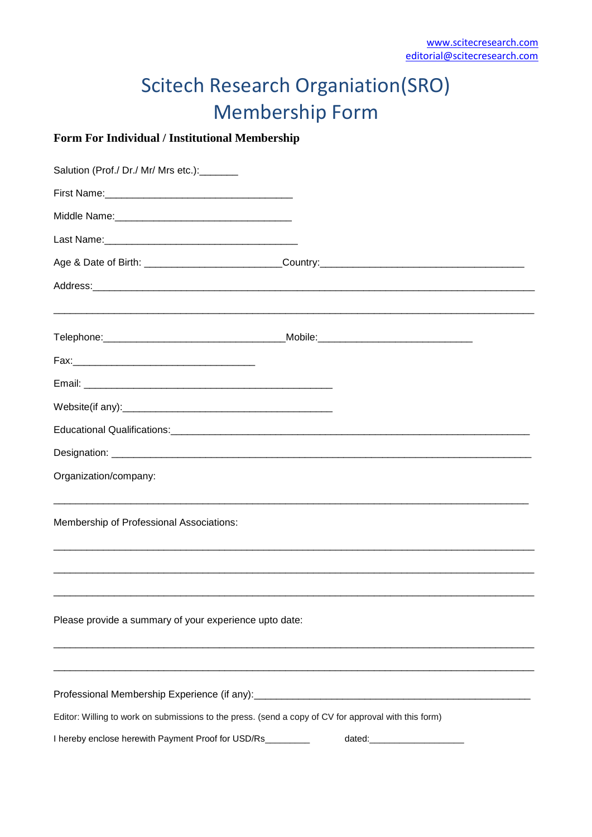## **Scitech Research Organiation(SRO) Membership Form**

## Form For Individual / Institutional Membership

| Salution (Prof./ Dr./ Mr/ Mrs etc.):_______                                                          |                                                                                                               |
|------------------------------------------------------------------------------------------------------|---------------------------------------------------------------------------------------------------------------|
|                                                                                                      |                                                                                                               |
|                                                                                                      |                                                                                                               |
|                                                                                                      |                                                                                                               |
|                                                                                                      |                                                                                                               |
|                                                                                                      | Address: 2008. 2008. 2009. 2009. 2010. 2010. 2010. 2010. 2010. 2010. 2010. 2010. 2010. 2010. 2010. 2010. 2010 |
|                                                                                                      |                                                                                                               |
|                                                                                                      |                                                                                                               |
|                                                                                                      |                                                                                                               |
|                                                                                                      |                                                                                                               |
|                                                                                                      |                                                                                                               |
|                                                                                                      |                                                                                                               |
|                                                                                                      |                                                                                                               |
| Organization/company:                                                                                |                                                                                                               |
| Membership of Professional Associations:                                                             |                                                                                                               |
|                                                                                                      |                                                                                                               |
| Please provide a summary of your experience upto date:                                               |                                                                                                               |
|                                                                                                      |                                                                                                               |
|                                                                                                      |                                                                                                               |
| Editor: Willing to work on submissions to the press. (send a copy of CV for approval with this form) |                                                                                                               |
| I hereby enclose herewith Payment Proof for USD/Rs_________                                          | dated:________________________                                                                                |